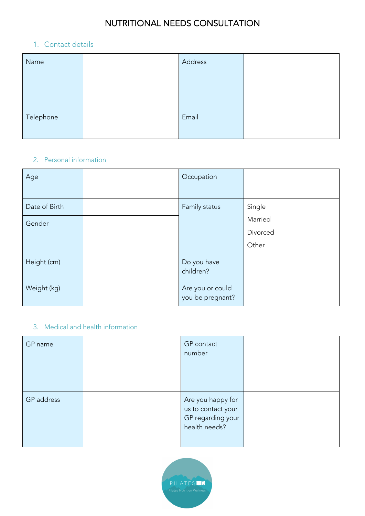### 1. Contact details

| Name      | Address |  |
|-----------|---------|--|
|           |         |  |
|           |         |  |
| Telephone | Email   |  |
|           |         |  |

### 2. Personal information

| Age           | Occupation                           |          |
|---------------|--------------------------------------|----------|
| Date of Birth | Family status                        | Single   |
| Gender        |                                      | Married  |
|               |                                      | Divorced |
|               |                                      | Other    |
| Height (cm)   | Do you have<br>children?             |          |
| Weight (kg)   | Are you or could<br>you be pregnant? |          |

### 3. Medical and health information

| GP name    | GP contact<br>number                                                          |  |
|------------|-------------------------------------------------------------------------------|--|
| GP address | Are you happy for<br>us to contact your<br>GP regarding your<br>health needs? |  |

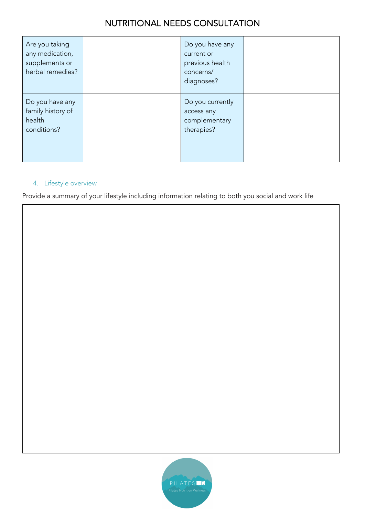| Are you taking<br>any medication,<br>supplements or<br>herbal remedies? | Do you have any<br>current or<br>previous health<br>concerns/<br>diagnoses? |  |
|-------------------------------------------------------------------------|-----------------------------------------------------------------------------|--|
| Do you have any<br>family history of<br>health<br>conditions?           | Do you currently<br>access any<br>complementary<br>therapies?               |  |

#### 4. Lifestyle overview

Provide a summary of your lifestyle including information relating to both you social and work life

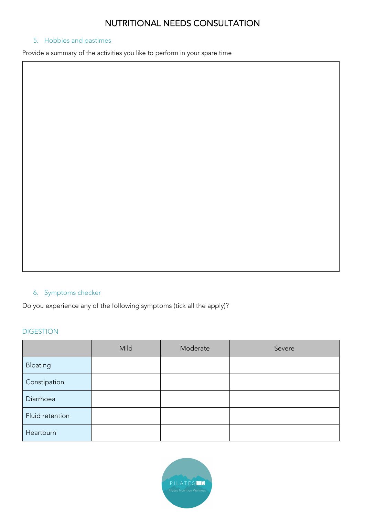#### 5. Hobbies and pastimes

Provide a summary of the activities you like to perform in your spare time

#### 6. Symptoms checker

Do you experience any of the following symptoms (tick all the apply)?

#### DIGESTION

|                 | Mild | Moderate | Severe |
|-----------------|------|----------|--------|
| Bloating        |      |          |        |
| Constipation    |      |          |        |
| Diarrhoea       |      |          |        |
| Fluid retention |      |          |        |
| Heartburn       |      |          |        |

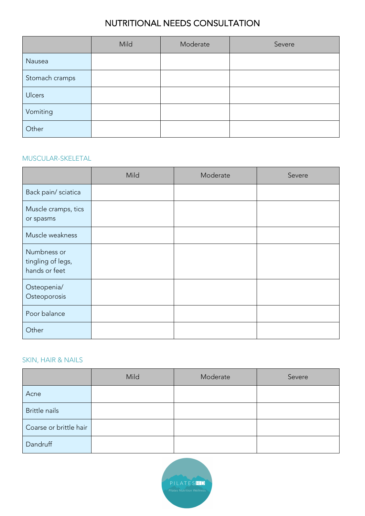|                | Mild | Moderate | Severe |
|----------------|------|----------|--------|
| Nausea         |      |          |        |
| Stomach cramps |      |          |        |
| Ulcers         |      |          |        |
| Vomiting       |      |          |        |
| Other          |      |          |        |

#### MUSCULAR-SKELETAL

|                                                   | Mild | Moderate | Severe |
|---------------------------------------------------|------|----------|--------|
| Back pain/ sciatica                               |      |          |        |
| Muscle cramps, tics<br>or spasms                  |      |          |        |
| Muscle weakness                                   |      |          |        |
| Numbness or<br>tingling of legs,<br>hands or feet |      |          |        |
| Osteopenia/<br>Osteoporosis                       |      |          |        |
| Poor balance                                      |      |          |        |
| Other                                             |      |          |        |

#### SKIN, HAIR & NAILS

|                        | Mild | Moderate | Severe |
|------------------------|------|----------|--------|
| Acne                   |      |          |        |
| Brittle nails          |      |          |        |
| Coarse or brittle hair |      |          |        |
| Dandruff               |      |          |        |

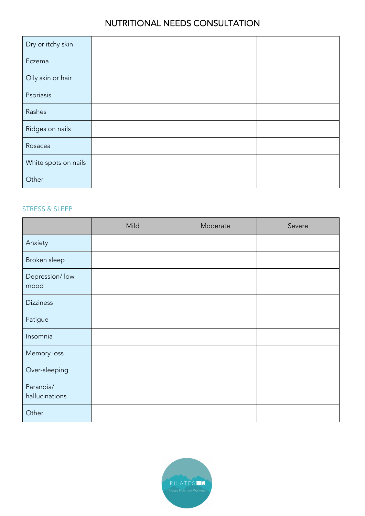| Dry or itchy skin    |  |  |
|----------------------|--|--|
| Eczema               |  |  |
| Oily skin or hair    |  |  |
| Psoriasis            |  |  |
| Rashes               |  |  |
| Ridges on nails      |  |  |
| Rosacea              |  |  |
| White spots on nails |  |  |
| Other                |  |  |

#### STRESS & SLEEP

|                             | Mild | Moderate | Severe |
|-----------------------------|------|----------|--------|
| Anxiety                     |      |          |        |
| Broken sleep                |      |          |        |
| Depression/ low<br>mood     |      |          |        |
| <b>Dizziness</b>            |      |          |        |
| Fatigue                     |      |          |        |
| Insomnia                    |      |          |        |
| Memory loss                 |      |          |        |
| Over-sleeping               |      |          |        |
| Paranoia/<br>hallucinations |      |          |        |
| Other                       |      |          |        |

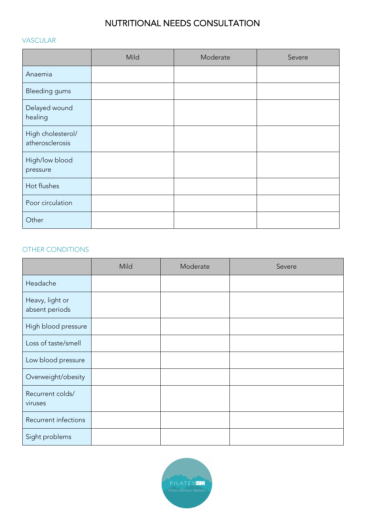#### VASCULAR

|                                      | Mild | Moderate | Severe |
|--------------------------------------|------|----------|--------|
| Anaemia                              |      |          |        |
| <b>Bleeding gums</b>                 |      |          |        |
| Delayed wound<br>healing             |      |          |        |
| High cholesterol/<br>atherosclerosis |      |          |        |
| High/low blood<br>pressure           |      |          |        |
| Hot flushes                          |      |          |        |
| Poor circulation                     |      |          |        |
| Other                                |      |          |        |

#### OTHER CONDITIONS

|                                   | Mild | Moderate | Severe |
|-----------------------------------|------|----------|--------|
| Headache                          |      |          |        |
| Heavy, light or<br>absent periods |      |          |        |
| High blood pressure               |      |          |        |
| Loss of taste/smell               |      |          |        |
| Low blood pressure                |      |          |        |
| Overweight/obesity                |      |          |        |
| Recurrent colds/<br>viruses       |      |          |        |
| Recurrent infections              |      |          |        |
| Sight problems                    |      |          |        |

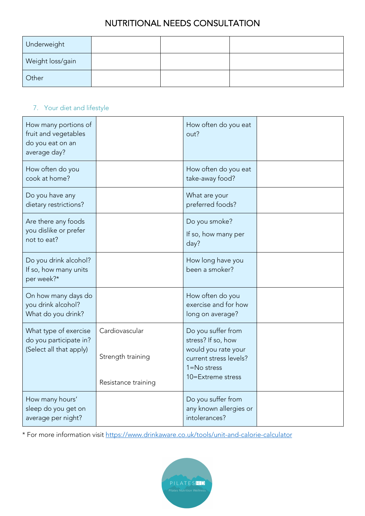| Underweight      |  |  |
|------------------|--|--|
| Weight loss/gain |  |  |
| Other            |  |  |

### 7. Your diet and lifestyle

| How many portions of<br>fruit and vegetables<br>do you eat on an<br>average day? |                                                            | How often do you eat<br>out?                                                                                                      |  |
|----------------------------------------------------------------------------------|------------------------------------------------------------|-----------------------------------------------------------------------------------------------------------------------------------|--|
| How often do you<br>cook at home?                                                |                                                            | How often do you eat<br>take-away food?                                                                                           |  |
| Do you have any<br>dietary restrictions?                                         |                                                            | What are your<br>preferred foods?                                                                                                 |  |
| Are there any foods<br>you dislike or prefer<br>not to eat?                      |                                                            | Do you smoke?<br>If so, how many per<br>day?                                                                                      |  |
| Do you drink alcohol?<br>If so, how many units<br>per week?*                     |                                                            | How long have you<br>been a smoker?                                                                                               |  |
| On how many days do<br>you drink alcohol?<br>What do you drink?                  |                                                            | How often do you<br>exercise and for how<br>long on average?                                                                      |  |
| What type of exercise<br>do you participate in?<br>(Select all that apply)       | Cardiovascular<br>Strength training<br>Resistance training | Do you suffer from<br>stress? If so, how<br>would you rate your<br>current stress levels?<br>$1 = No$ stress<br>10=Extreme stress |  |
| How many hours'<br>sleep do you get on<br>average per night?                     |                                                            | Do you suffer from<br>any known allergies or<br>intolerances?                                                                     |  |

\* For more information visit https://www.drinkaware.co.uk/tools/unit-and-calorie-calculator

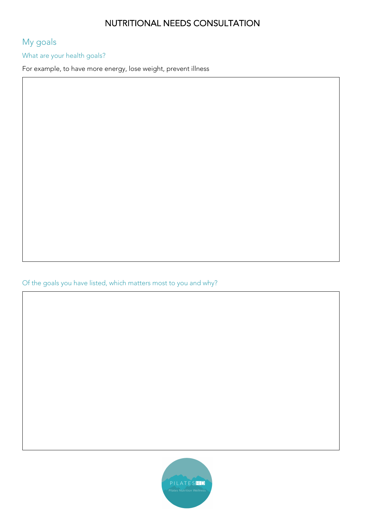# My goals

What are your health goals?

For example, to have more energy, lose weight, prevent illness

Of the goals you have listed, which matters most to you and why?

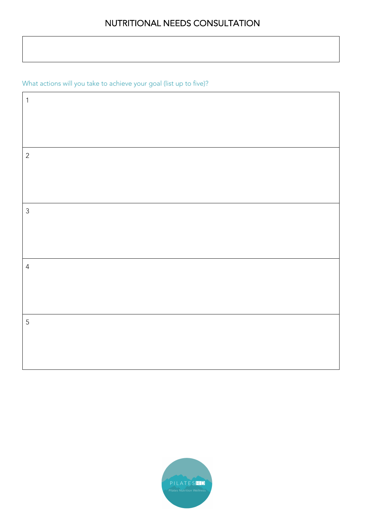What actions will you take to achieve your goal (list up to five)?

| $\mathbf 1$    |  |
|----------------|--|
|                |  |
|                |  |
| $\sqrt{2}$     |  |
|                |  |
| $\mathfrak{Z}$ |  |
|                |  |
|                |  |
| $\overline{4}$ |  |
|                |  |
|                |  |
| $\sqrt{5}$     |  |
|                |  |
|                |  |

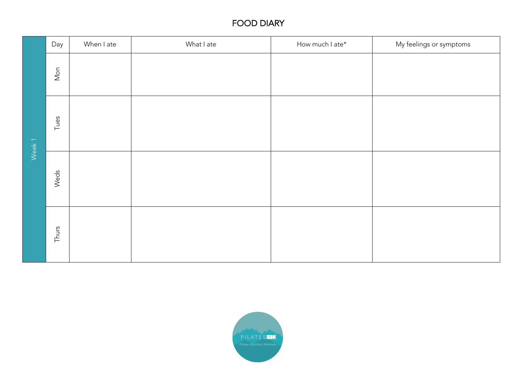|       | Day            | When I ate | What I ate | How much I ate* | My feelings or symptoms |
|-------|----------------|------------|------------|-----------------|-------------------------|
| Week1 | $\mathsf{Mon}$ |            |            |                 |                         |
|       | Tues           |            |            |                 |                         |
|       | Weds           |            |            |                 |                         |
|       | Thurs          |            |            |                 |                         |

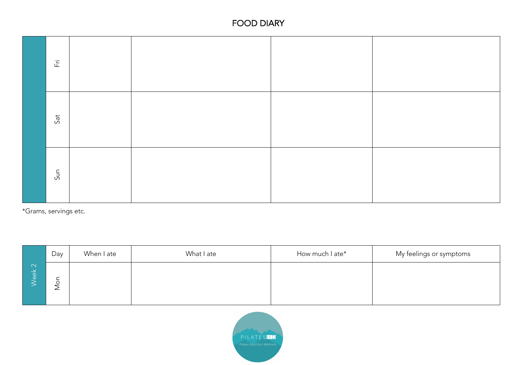

\*Grams, servings etc.

|                              | Day                                           | When I ate | What I ate | How much I ate* | My feelings or symptoms |
|------------------------------|-----------------------------------------------|------------|------------|-----------------|-------------------------|
| $\sqrt{N}$<br>$\frac{1}{10}$ | ∸<br>$\circ$<br>$\overline{\phantom{0}}$<br>∠ |            |            |                 |                         |

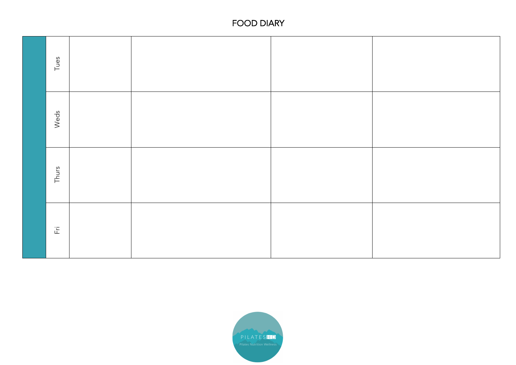| Tues  |  |  |
|-------|--|--|
| Weds  |  |  |
| Thurs |  |  |
| 풉     |  |  |

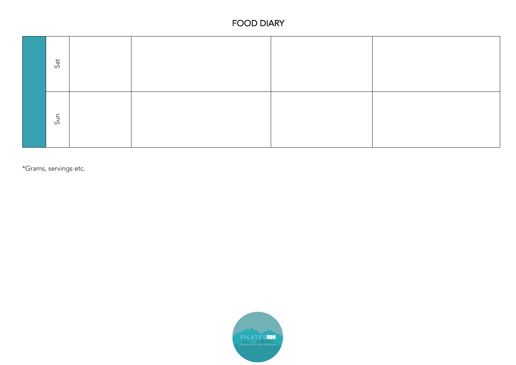| Sat |  |  |
|-----|--|--|
| Sun |  |  |

\*Grams, servings etc.

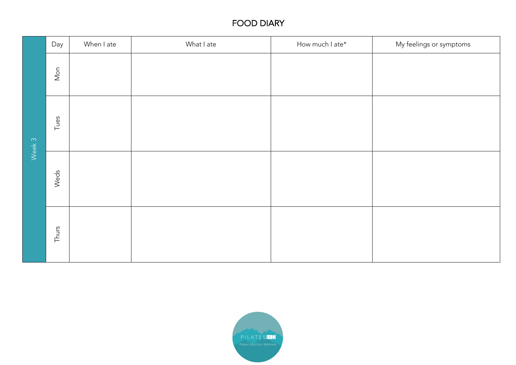|        | Day            | When I ate | What I ate | How much I ate* | My feelings or symptoms |
|--------|----------------|------------|------------|-----------------|-------------------------|
| Week 3 | $\mathsf{Mon}$ |            |            |                 |                         |
|        | Tues           |            |            |                 |                         |
|        | Weds           |            |            |                 |                         |
|        | Thurs          |            |            |                 |                         |

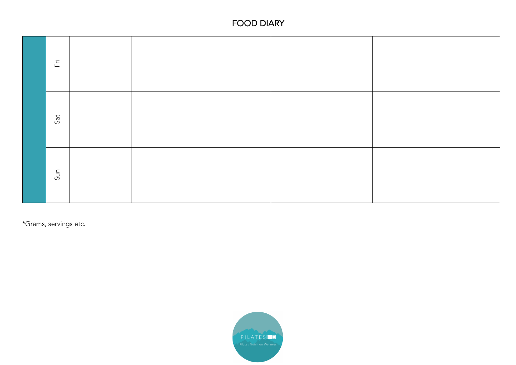

\*Grams, servings etc.